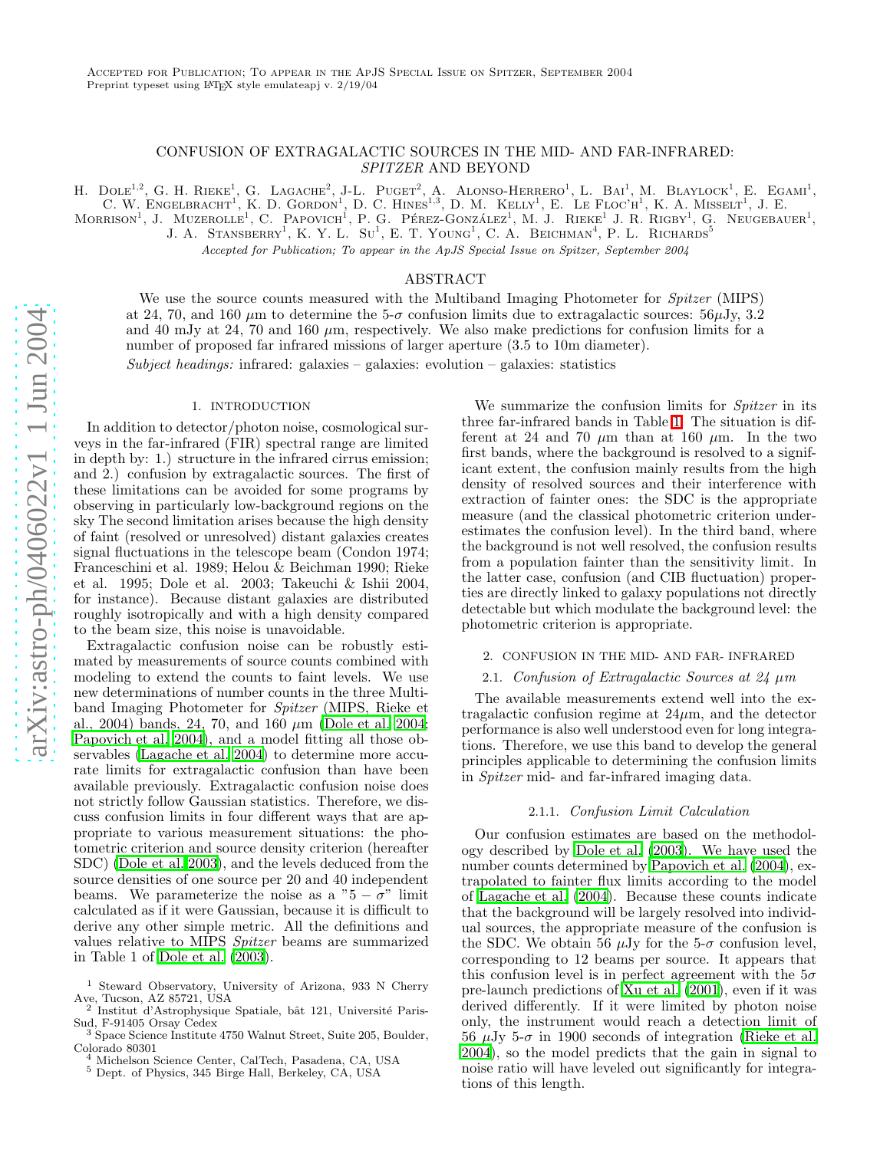# CONFUSION OF EXTRAGALACTIC SOURCES IN THE MID- AND FAR-INFRARED: SPITZER AND BEYOND

H. DOLE<sup>1,2</sup>, G. H. RIEKE<sup>1</sup>, G. LAGACHE<sup>2</sup>, J-L. PUGET<sup>2</sup>, A. ALONSO-HERRERO<sup>1</sup>, L. BAI<sup>1</sup>, M. BLAYLOCK<sup>1</sup>, E. EGAMI<sup>1</sup>,

C. W. ENGELBRACHT<sup>1</sup>, K. D. GORDON<sup>1</sup>, D. C. HINES<sup>1,3</sup>, D. M. KELLY<sup>1</sup>, E. LE FLOC'H<sup>1</sup>, K. A. MISSELT<sup>1</sup>, J. E.

MORRISON<sup>1</sup>, J. MUZEROLLE<sup>1</sup>, C. PAPOVICH<sup>1</sup>, P. G. PÉREZ-GONZÁLEZ<sup>1</sup>, M. J. RIEKE<sup>1</sup> J. R. RIGBY<sup>1</sup>, G. NEUGEBAUER<sup>1</sup>,

J. A. STANSBERRY<sup>1</sup>, K. Y. L. Su<sup>1</sup>, E. T. YOUNG<sup>1</sup>, C. A. BEICHMAN<sup>4</sup>, P. L. RICHARDS<sup>5</sup>

Accepted for Publication; To appear in the ApJS Special Issue on Spitzer, September 2004

# ABSTRACT

We use the source counts measured with the Multiband Imaging Photometer for Spitzer (MIPS) at 24, 70, and 160  $\mu$ m to determine the 5- $\sigma$  confusion limits due to extragalactic sources: 56 $\mu$ Jy, 3.2 and 40 mJy at 24, 70 and 160  $\mu$ m, respectively. We also make predictions for confusion limits for a number of proposed far infrared missions of larger aperture (3.5 to 10m diameter). Subject headings: infrared: galaxies – galaxies: evolution – galaxies: statistics

### 1. INTRODUCTION

In addition to detector/photon noise, cosmological surveys in the far-infrared (FIR) spectral range are limited in depth by: 1.) structure in the infrared cirrus emission; and 2.) confusion by extragalactic sources. The first of these limitations can be avoided for some programs by observing in particularly low-background regions on the sky The second limitation arises because the high density of faint (resolved or unresolved) distant galaxies creates signal fluctuations in the telescope beam (Condon 1974; Franceschini et al. 1989; Helou & Beichman 1990; Rieke et al. 1995; Dole et al. 2003; Takeuchi & Ishii 2004, for instance). Because distant galaxies are distributed roughly isotropically and with a high density compared to the beam size, this noise is unavoidable.

Extragalactic confusion noise can be robustly estimated by measurements of source counts combined with modeling to extend the counts to faint levels. We use new determinations of number counts in the three Multiband Imaging Photometer for Spitzer (MIPS, Rieke et al., 2004) bands, 24, 70, and 160  $\mu$ m [\(Dole et al. 2004;](#page-3-0) [Papovich et al. 2004\)](#page-3-1), and a model fitting all those observables [\(Lagache et al. 2004\)](#page-3-2) to determine more accurate limits for extragalactic confusion than have been available previously. Extragalactic confusion noise does not strictly follow Gaussian statistics. Therefore, we discuss confusion limits in four different ways that are appropriate to various measurement situations: the photometric criterion and source density criterion (hereafter SDC) [\(Dole et al. 2003\)](#page-3-3), and the levels deduced from the source densities of one source per 20 and 40 independent beams. We parameterize the noise as a " $5 - \sigma$ " limit calculated as if it were Gaussian, because it is difficult to derive any other simple metric. All the definitions and values relative to MIPS Spitzer beams are summarized in Table 1 of [Dole et al. \(2003\)](#page-3-3).

We summarize the confusion limits for *Spitzer* in its three far-infrared bands in Table [1.](#page-1-0) The situation is different at 24 and 70  $\mu$ m than at 160  $\mu$ m. In the two first bands, where the background is resolved to a significant extent, the confusion mainly results from the high density of resolved sources and their interference with extraction of fainter ones: the SDC is the appropriate measure (and the classical photometric criterion underestimates the confusion level). In the third band, where the background is not well resolved, the confusion results from a population fainter than the sensitivity limit. In the latter case, confusion (and CIB fluctuation) properties are directly linked to galaxy populations not directly detectable but which modulate the background level: the photometric criterion is appropriate.

### 2. CONFUSION IN THE MID- AND FAR- INFRARED

# 2.1. Confusion of Extragalactic Sources at  $24 \mu m$

The available measurements extend well into the extragalactic confusion regime at  $24\mu$ m, and the detector performance is also well understood even for long integrations. Therefore, we use this band to develop the general principles applicable to determining the confusion limits in Spitzer mid- and far-infrared imaging data.

#### 2.1.1. Confusion Limit Calculation

Our confusion estimates are based on the methodology described by [Dole et al. \(2003\)](#page-3-3). We have used the number counts determined by [Papovich et al. \(2004\)](#page-3-1), extrapolated to fainter flux limits according to the model of [Lagache et al. \(2004\)](#page-3-2). Because these counts indicate that the background will be largely resolved into individual sources, the appropriate measure of the confusion is the SDC. We obtain 56  $\mu$ Jy for the 5- $\sigma$  confusion level, corresponding to 12 beams per source. It appears that this confusion level is in perfect agreement with the  $5\sigma$ pre-launch predictions of [Xu et al. \(2001\)](#page-3-4), even if it was derived differently. If it were limited by photon noise only, the instrument would reach a detection limit of 56  $\mu$ Jy 5- $\sigma$  in 1900 seconds of integration [\(Rieke et al.](#page-3-5) [2004\)](#page-3-5), so the model predicts that the gain in signal to noise ratio will have leveled out significantly for integrations of this length.

<sup>1</sup> Steward Observatory, University of Arizona, 933 N Cherry Ave, Tucson, AZ 85721, USA

 $^2$ Institut d'Astrophysique Spatiale, bât 121, Université Paris-Sud, F-91405 Orsay Cedex

 $\frac{3}{3}$  Space Science Institute 4750 Walnut Street, Suite 205, Boulder, Colorado 80301

 $^4$ Michelson Science Center, CalTech, Pasadena, CA, USA  $^5$  Dept. of Physics, 345 Birge Hall, Berkeley, CA, USA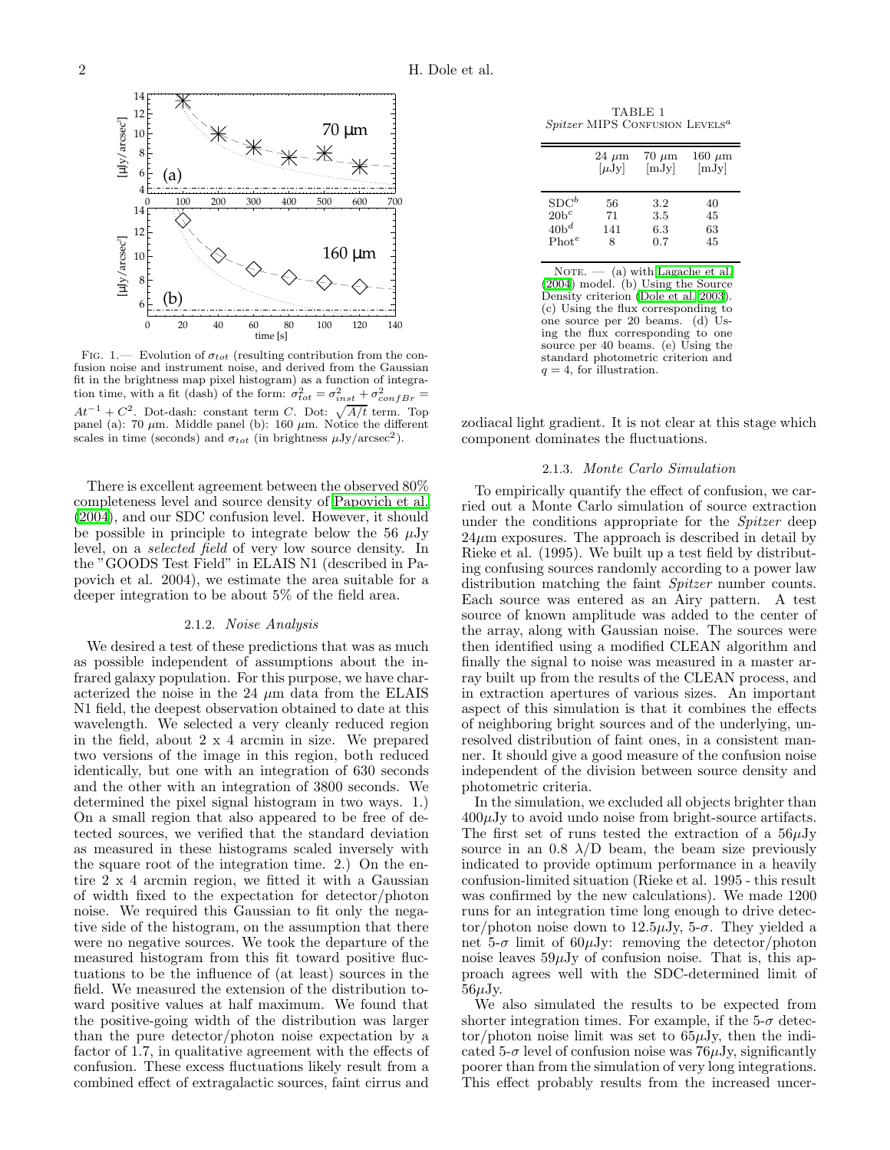

<span id="page-1-1"></span>FIG. 1.— Evolution of  $\sigma_{tot}$  (resulting contribution from the confusion noise and instrument noise, and derived from the Gaussian fit in the brightness map pixel histogram) as a function of integration time, with a fit (dash) of the form:  $\sigma_{tot}^2 = \sigma_{inst}^2 + \sigma_{confBr}^2 =$  $At^{-1} + C^2$ . Dot-dash: constant term C. Dot:  $\sqrt{A/t}$  term. Top panel (a): 70  $\mu$ m. Middle panel (b): 160  $\mu$ m. Notice the different scales in time (seconds) and  $\sigma_{tot}$  (in brightness  $\mu$ Jy/arcsec<sup>2</sup>).

There is excellent agreement between the observed 80% completeness level and source density of [Papovich et al.](#page-3-1) [\(2004\)](#page-3-1), and our SDC confusion level. However, it should be possible in principle to integrate below the 56  $\mu$ Jy level, on a selected field of very low source density. In the "GOODS Test Field" in ELAIS N1 (described in Papovich et al. 2004), we estimate the area suitable for a deeper integration to be about 5% of the field area.

### 2.1.2. Noise Analysis

We desired a test of these predictions that was as much as possible independent of assumptions about the infrared galaxy population. For this purpose, we have characterized the noise in the 24  $\mu$ m data from the ELAIS N1 field, the deepest observation obtained to date at this wavelength. We selected a very cleanly reduced region in the field, about 2 x 4 arcmin in size. We prepared two versions of the image in this region, both reduced identically, but one with an integration of 630 seconds and the other with an integration of 3800 seconds. We determined the pixel signal histogram in two ways. 1.) On a small region that also appeared to be free of detected sources, we verified that the standard deviation as measured in these histograms scaled inversely with the square root of the integration time. 2.) On the entire 2 x 4 arcmin region, we fitted it with a Gaussian of width fixed to the expectation for detector/photon noise. We required this Gaussian to fit only the negative side of the histogram, on the assumption that there were no negative sources. We took the departure of the measured histogram from this fit toward positive fluctuations to be the influence of (at least) sources in the field. We measured the extension of the distribution toward positive values at half maximum. We found that the positive-going width of the distribution was larger than the pure detector/photon noise expectation by a factor of 1.7, in qualitative agreement with the effects of confusion. These excess fluctuations likely result from a combined effect of extragalactic sources, faint cirrus and

<span id="page-1-0"></span>TABLE 1  $Spitzer$  MIPS CONFUSION LEVELS<sup>a</sup>

|                   | $24 \mu m$ | $70 \mu m$ | $160 \mu m$ |
|-------------------|------------|------------|-------------|
|                   | $[\mu Jy]$ | [mJy]      | [mJy]       |
| $SDC^b$           | 56         | 3.2        | 40          |
| $20b^c$           | 71         | 3.5        | 45          |
| $40b^d$           | 141        | 6.3        | 63          |
| Phot <sup>e</sup> | 8          | 0.7        | 45          |

NOTE.  $-$  (a) with [Lagache et al.](#page-3-2) [\(2004\)](#page-3-2) model. (b) Using the Source Density criterion [\(Dole et al. 2003](#page-3-3)). (c) Using the flux corresponding to one source per 20 beams. (d) Using the flux corresponding to one source per 40 beams. (e) Using the standard photometric criterion and  $q = 4$ , for illustration.

zodiacal light gradient. It is not clear at this stage which component dominates the fluctuations.

### 2.1.3. Monte Carlo Simulation

To empirically quantify the effect of confusion, we carried out a Monte Carlo simulation of source extraction under the conditions appropriate for the Spitzer deep  $24\mu$ m exposures. The approach is described in detail by Rieke et al. (1995). We built up a test field by distributing confusing sources randomly according to a power law distribution matching the faint *Spitzer* number counts. Each source was entered as an Airy pattern. A test source of known amplitude was added to the center of the array, along with Gaussian noise. The sources were then identified using a modified CLEAN algorithm and finally the signal to noise was measured in a master array built up from the results of the CLEAN process, and in extraction apertures of various sizes. An important aspect of this simulation is that it combines the effects of neighboring bright sources and of the underlying, unresolved distribution of faint ones, in a consistent manner. It should give a good measure of the confusion noise independent of the division between source density and photometric criteria.

In the simulation, we excluded all objects brighter than  $400\mu$ Jy to avoid undo noise from bright-source artifacts. The first set of runs tested the extraction of a  $56\mu$ Jy source in an 0.8  $\lambda$ /D beam, the beam size previously indicated to provide optimum performance in a heavily confusion-limited situation (Rieke et al. 1995 - this result was confirmed by the new calculations). We made 1200 runs for an integration time long enough to drive detector/photon noise down to  $12.5\mu\text{Jy}$ , 5- $\sigma$ . They yielded a net 5- $\sigma$  limit of 60 $\mu$ Jy: removing the detector/photon noise leaves  $59\mu$ Jy of confusion noise. That is, this approach agrees well with the SDC-determined limit of  $56\mu$ Jy.

We also simulated the results to be expected from shorter integration times. For example, if the  $5-\sigma$  detec- $\text{tor}/\text{photon noise limit}$  was set to  $65\mu\text{Jy}$ , then the indicated 5- $\sigma$  level of confusion noise was 76 $\mu$ Jy, significantly poorer than from the simulation of very long integrations. This effect probably results from the increased uncer-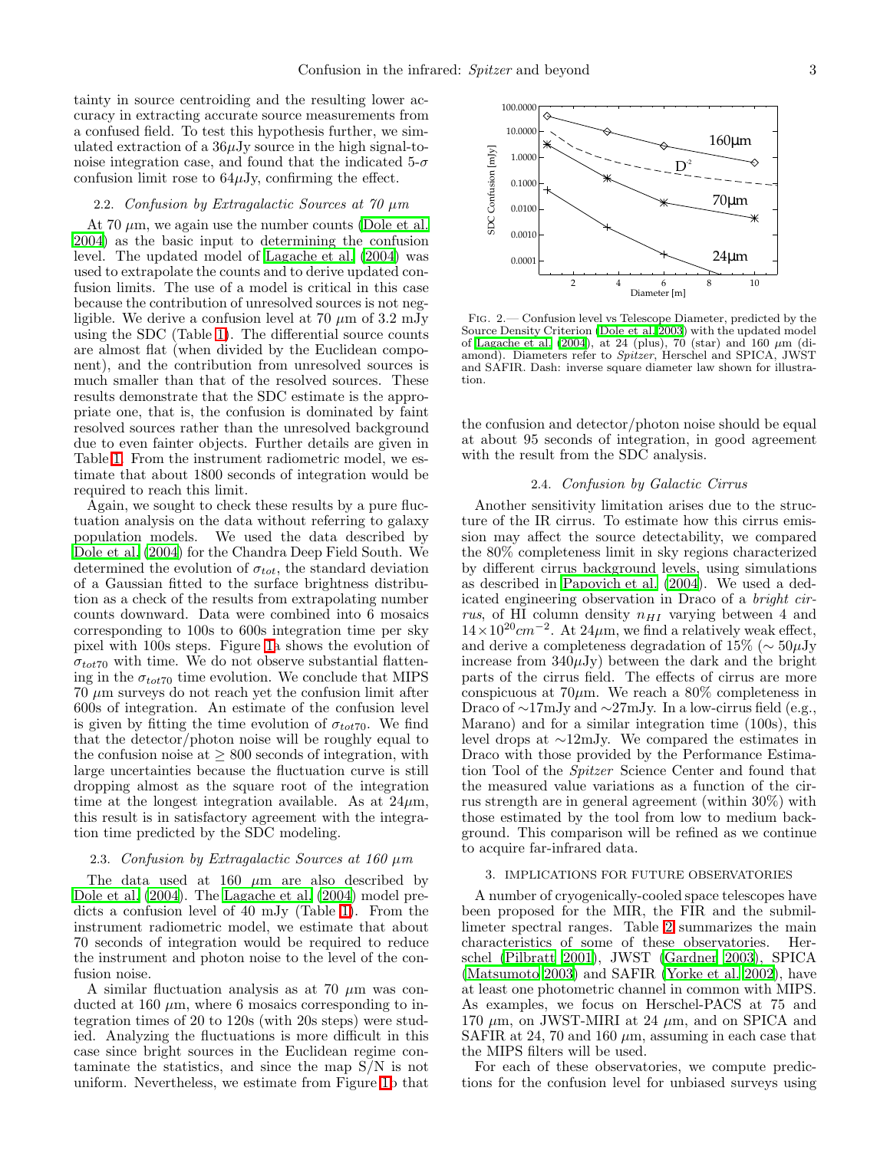tainty in source centroiding and the resulting lower accuracy in extracting accurate source measurements from a confused field. To test this hypothesis further, we simulated extraction of a  $36\mu$ Jy source in the high signal-tonoise integration case, and found that the indicated  $5-\sigma$ confusion limit rose to  $64\mu$ Jy, confirming the effect.

### 2.2. Confusion by Extragalactic Sources at 70  $\mu$ m

At 70  $\mu$ m, we again use the number counts [\(Dole et al.](#page-3-0) [2004\)](#page-3-0) as the basic input to determining the confusion level. The updated model of [Lagache et al. \(2004\)](#page-3-2) was used to extrapolate the counts and to derive updated confusion limits. The use of a model is critical in this case because the contribution of unresolved sources is not negligible. We derive a confusion level at 70  $\mu$ m of 3.2 mJy using the SDC (Table [1\)](#page-1-0). The differential source counts are almost flat (when divided by the Euclidean component), and the contribution from unresolved sources is much smaller than that of the resolved sources. These results demonstrate that the SDC estimate is the appropriate one, that is, the confusion is dominated by faint resolved sources rather than the unresolved background due to even fainter objects. Further details are given in Table [1.](#page-1-0) From the instrument radiometric model, we estimate that about 1800 seconds of integration would be required to reach this limit.

Again, we sought to check these results by a pure fluctuation analysis on the data without referring to galaxy population models. We used the data described by [Dole et al. \(2004\)](#page-3-0) for the Chandra Deep Field South. We determined the evolution of  $\sigma_{tot}$ , the standard deviation of a Gaussian fitted to the surface brightness distribution as a check of the results from extrapolating number counts downward. Data were combined into 6 mosaics corresponding to 100s to 600s integration time per sky pixel with 100s steps. Figure [1a](#page-1-1) shows the evolution of  $\sigma_{tot70}$  with time. We do not observe substantial flattening in the  $\sigma_{tot70}$  time evolution. We conclude that MIPS  $70 \mu m$  surveys do not reach yet the confusion limit after 600s of integration. An estimate of the confusion level is given by fitting the time evolution of  $\sigma_{tot70}$ . We find that the detector/photon noise will be roughly equal to the confusion noise at  $\geq 800$  seconds of integration, with large uncertainties because the fluctuation curve is still dropping almost as the square root of the integration time at the longest integration available. As at  $24\mu$ m, this result is in satisfactory agreement with the integration time predicted by the SDC modeling.

#### 2.3. Confusion by Extragalactic Sources at  $160 \mu m$

The data used at 160  $\mu$ m are also described by [Dole et al. \(2004\)](#page-3-0). The [Lagache et al. \(2004\)](#page-3-2) model predicts a confusion level of 40 mJy (Table [1\)](#page-1-0). From the instrument radiometric model, we estimate that about 70 seconds of integration would be required to reduce the instrument and photon noise to the level of the confusion noise.

A similar fluctuation analysis as at 70  $\mu$ m was conducted at 160  $\mu$ m, where 6 mosaics corresponding to integration times of 20 to 120s (with 20s steps) were studied. Analyzing the fluctuations is more difficult in this case since bright sources in the Euclidean regime contaminate the statistics, and since the map S/N is not uniform. Nevertheless, we estimate from Figure [1b](#page-1-1) that



<span id="page-2-0"></span>Fig. 2.— Confusion level vs Telescope Diameter, predicted by the Source Density Criterion [\(Dole et al. 2003](#page-3-3)) with the updated model of [Lagache et al. \(2004](#page-3-2)), at 24 (plus), 70 (star) and 160  $\mu$ m (diamond). Diameters refer to Spitzer, Herschel and SPICA, JWST and SAFIR. Dash: inverse square diameter law shown for illustration.

the confusion and detector/photon noise should be equal at about 95 seconds of integration, in good agreement with the result from the SDC analysis.

## 2.4. Confusion by Galactic Cirrus

Another sensitivity limitation arises due to the structure of the IR cirrus. To estimate how this cirrus emission may affect the source detectability, we compared the 80% completeness limit in sky regions characterized by different cirrus background levels, using simulations as described in [Papovich et al. \(2004](#page-3-1)). We used a dedicated engineering observation in Draco of a bright cirrus, of HI column density  $n_{HI}$  varying between 4 and  $14 \times 10^{20}$  cm<sup>-2</sup>. At 24 $\mu$ m, we find a relatively weak effect, and derive a completeness degradation of 15% ( $\sim 50 \mu$ Jy increase from  $340\mu$ Jy) between the dark and the bright parts of the cirrus field. The effects of cirrus are more conspicuous at  $70\mu$ m. We reach a  $80\%$  completeness in Draco of ∼17mJy and ∼27mJy. In a low-cirrus field (e.g., Marano) and for a similar integration time (100s), this level drops at ∼12mJy. We compared the estimates in Draco with those provided by the Performance Estimation Tool of the Spitzer Science Center and found that the measured value variations as a function of the cirrus strength are in general agreement (within 30%) with those estimated by the tool from low to medium background. This comparison will be refined as we continue to acquire far-infrared data.

#### 3. IMPLICATIONS FOR FUTURE OBSERVATORIES

A number of cryogenically-cooled space telescopes have been proposed for the MIR, the FIR and the submillimeter spectral ranges. Table [2](#page-3-6) summarizes the main characteristics of some of these observatories. Herschel [\(Pilbratt 2001\)](#page-3-7), JWST [\(Gardner 2003\)](#page-3-8), SPICA [\(Matsumoto 2003\)](#page-3-9) and SAFIR [\(Yorke et al. 2002\)](#page-3-10), have at least one photometric channel in common with MIPS. As examples, we focus on Herschel-PACS at 75 and 170  $\mu$ m, on JWST-MIRI at 24  $\mu$ m, and on SPICA and SAFIR at 24, 70 and 160  $\mu$ m, assuming in each case that the MIPS filters will be used.

For each of these observatories, we compute predictions for the confusion level for unbiased surveys using